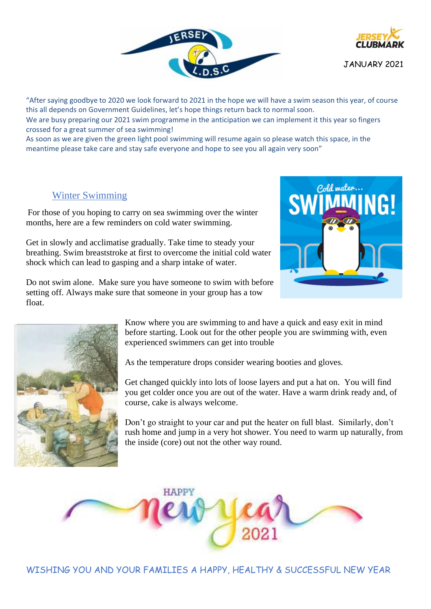



JANUARY 2021

"After saying goodbye to 2020 we look forward to 2021 in the hope we will have a swim season this year, of course this all depends on Government Guidelines, let's hope things return back to normal soon.

We are busy preparing our 2021 swim programme in the anticipation we can implement it this year so fingers crossed for a great summer of sea swimming!

As soon as we are given the green light pool swimming will resume again so please watch this space, in the meantime please take care and stay safe everyone and hope to see you all again very soon"

# Winter Swimming

For those of you hoping to carry on sea swimming over the winter months, here are a few reminders on cold water swimming.

Get in slowly and acclimatise gradually. Take time to steady your breathing. Swim breaststroke at first to overcome the initial cold water shock which can lead to gasping and a sharp intake of water.

Do not swim alone. Make sure you have someone to swim with before setting off. Always make sure that someone in your group has a tow float.





Know where you are swimming to and have a quick and easy exit in mind before starting. Look out for the other people you are swimming with, even experienced swimmers can get into trouble

As the temperature drops consider wearing booties and gloves.

Get changed quickly into lots of loose layers and put a hat on. You will find you get colder once you are out of the water. Have a warm drink ready and, of course, cake is always welcome.

Don't go straight to your car and put the heater on full blast. Similarly, don't rush home and jump in a very hot shower. You need to warm up naturally, from the inside (core) out not the other way round.

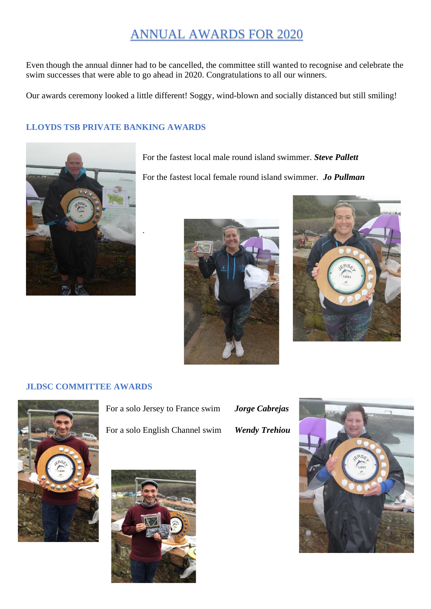# ANNUAL AWARDS FOR 2020

Even though the annual dinner had to be cancelled, the committee still wanted to recognise and celebrate the swim successes that were able to go ahead in 2020. Congratulations to all our winners.

Our awards ceremony looked a little different! Soggy, wind-blown and socially distanced but still smiling!

# **LLOYDS TSB PRIVATE BANKING AWARDS**

.



For the fastest local male round island swimmer. *Steve Pallett*

For the fastest local female round island swimmer. *Jo Pullman*





#### **JLDSC COMMITTEE AWARDS**



For a solo Jersey to France swim *Jorge Cabrejas* For a solo English Channel swim *Wendy Trehiou*



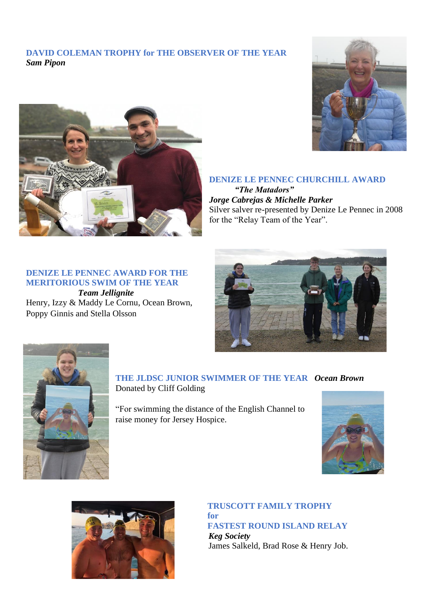### **DAVID COLEMAN TROPHY for THE OBSERVER OF THE YEAR**  *Sam Pipon*





# **DENIZE LE PENNEC CHURCHILL AWARD**

*"The Matadors" Jorge Cabrejas & Michelle Parker* Silver salver re-presented by Denize Le Pennec in 2008 for the "Relay Team of the Year".

### **DENIZE LE PENNEC AWARD FOR THE MERITORIOUS SWIM OF THE YEAR**

*Team Jellignite* Henry, Izzy & Maddy Le Cornu, Ocean Brown, Poppy Ginnis and Stella Olsson





**THE JLDSC JUNIOR SWIMMER OF THE YEAR** *Ocean Brown* Donated by Cliff Golding

"For swimming the distance of the English Channel to raise money for Jersey Hospice.





#### **TRUSCOTT FAMILY TROPHY for FASTEST ROUND ISLAND RELAY**

*Keg Society* James Salkeld, Brad Rose & Henry Job.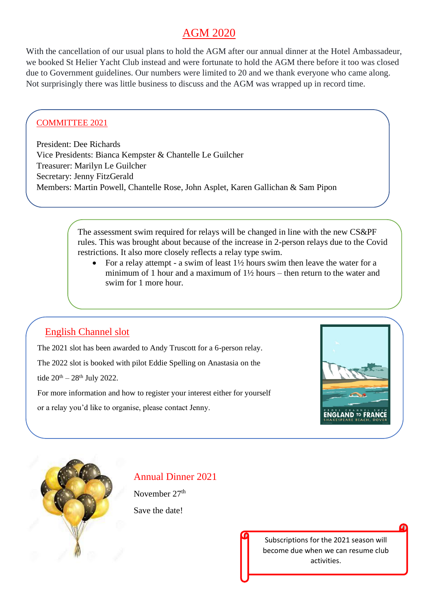# AGM 2020

With the cancellation of our usual plans to hold the AGM after our annual dinner at the Hotel Ambassadeur, we booked St Helier Yacht Club instead and were fortunate to hold the AGM there before it too was closed due to Government guidelines. Our numbers were limited to 20 and we thank everyone who came along. Not surprisingly there was little business to discuss and the AGM was wrapped up in record time.

# COMMITTEE 2021

President: Dee Richards Vice Presidents: Bianca Kempster & Chantelle Le Guilcher Treasurer: Marilyn Le Guilcher Secretary: Jenny FitzGerald Members: Martin Powell, Chantelle Rose, John Asplet, Karen Gallichan & Sam Pipon

> The assessment swim required for relays will be changed in line with the new CS&PF rules. This was brought about because of the increase in 2-person relays due to the Covid restrictions. It also more closely reflects a relay type swim.

• For a relay attempt - a swim of least  $1\frac{1}{2}$  hours swim then leave the water for a minimum of 1 hour and a maximum of  $1\frac{1}{2}$  hours – then return to the water and swim for 1 more hour.

# English Channel slot

The 2021 slot has been awarded to Andy Truscott for a 6-person relay.

The 2022 slot is booked with pilot Eddie Spelling on Anastasia on the

tide  $20^{th} - 28^{th}$  July 2022.

For more information and how to register your interest either for yourself

or a relay you'd like to organise, please contact Jenny.





# Annual Dinner 2021

November 27<sup>th</sup> Save the date!

> Subscriptions for the 2021 season will become due when we can resume club activities.